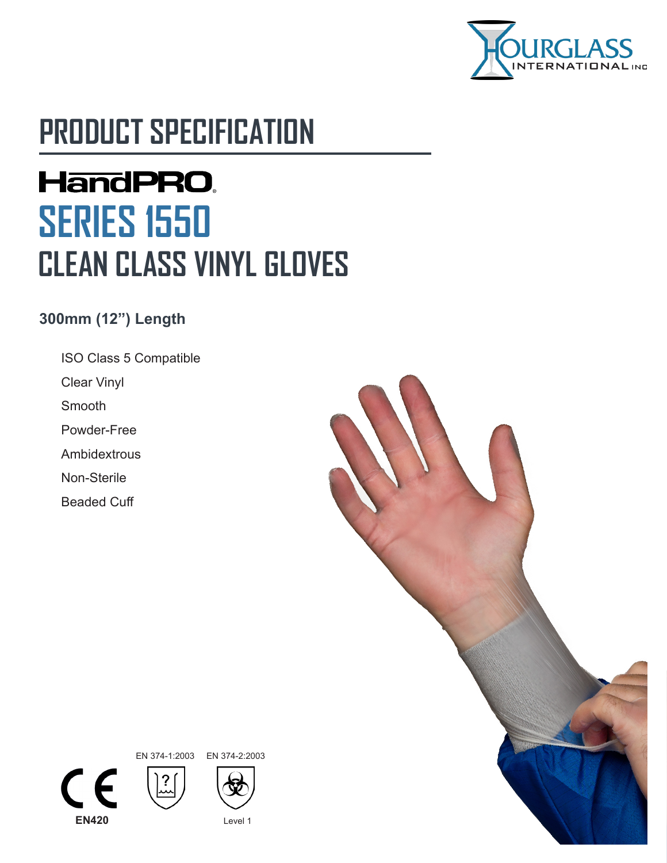

# **PRODUCT SPECIFICATION**

# **HandPRO. SERIES 1550 CLEAN CLASS VINYL GLOVES**

#### **300mm (12") Length**

- ISO Class 5 Compatible
- Clear Vinyl
- Smooth
- Powder-Free
- Ambidextrous
- Non-Sterile
- Beaded Cuff





EN 374-1:2003 EN 374-2:2003

2<br>سا



**EN420** Level 1